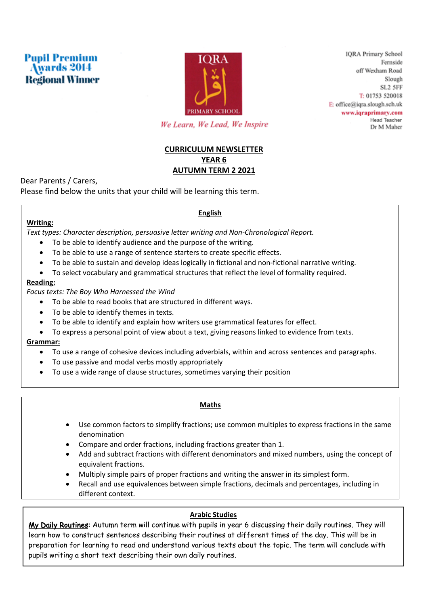



**IORA Primary School** Fernside off Wexham Road Slough SL<sub>2</sub> 5FF T: 01753 520018  $E$ : office@iqra.slough.sch.uk www.iqraprimary.com Head Teacher Dr M Maher

We Learn, We Lead, We Inspire

# **CURRICULUM NEWSLETTER YEAR 6 AUTUMN TERM 2 2021**

Dear Parents / Carers,

Please find below the units that your child will be learning this term.

# **English**

# **Writing:**

*Text types: Character description, persuasive letter writing and Non-Chronological Report.*

- To be able to identify audience and the purpose of the writing.
- To be able to use a range of sentence starters to create specific effects.
- To be able to sustain and develop ideas logically in fictional and non-fictional narrative writing.
- To select vocabulary and grammatical structures that reflect the level of formality required.

# **Reading:**

*Focus texts: The Boy Who Harnessed the Wind*

- To be able to read books that are structured in different ways.
- To be able to identify themes in texts.
- To be able to identify and explain how writers use grammatical features for effect.
- To express a personal point of view about a text, giving reasons linked to evidence from texts.

## **Grammar:**

- To use a range of cohesive devices including adverbials, within and across sentences and paragraphs.
- To use passive and modal verbs mostly appropriately
- To use a wide range of clause structures, sometimes varying their position

## **Maths**

- Use common factors to simplify fractions; use common multiples to express fractions in the same denomination
- Compare and order fractions, including fractions greater than 1.
- Add and subtract fractions with different denominators and mixed numbers, using the concept of equivalent fractions.
- Multiply simple pairs of proper fractions and writing the answer in its simplest form.
- Recall and use equivalences between simple fractions, decimals and percentages, including in different context.

# **Arabic Studies**

My Daily Routines: Autumn term will continue with pupils in year 6 discussing their daily routines. They will learn how to construct sentences describing their routines at different times of the day. This will be in preparation for learning to read and understand various texts about the topic. The term will conclude with pupils writing a short text describing their own daily routines.